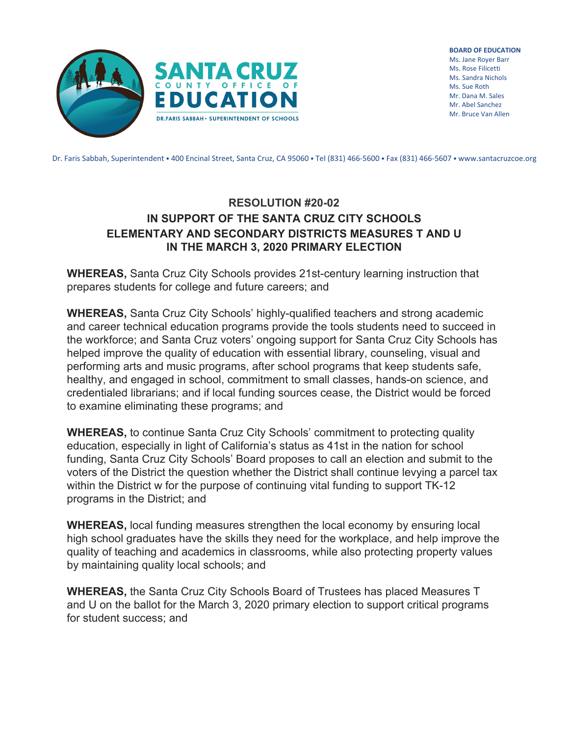

**BOARD OF EDUCATION** Ms. Jane Royer Barr Ms. Rose Filicetti Ms. Sandra Nichols Ms. Sue Roth Mr. Dana M. Sales Mr. Abel Sanchez Mr. Bruce Van Allen

Dr. Faris Sabbah, Superintendent • 400 Encinal Street, Santa Cruz, CA 95060 • Tel (831) 466-5600 • Fax (831) 466-5607 • www.santacruzcoe.org

## **RESOLUTION #20-02 IN SUPPORT OF THE SANTA CRUZ CITY SCHOOLS ELEMENTARY AND SECONDARY DISTRICTS MEASURES T AND U IN THE MARCH 3, 2020 PRIMARY ELECTION**

**WHEREAS,** Santa Cruz City Schools provides 21st-century learning instruction that prepares students for college and future careers; and

**WHEREAS,** Santa Cruz City Schools' highly-qualified teachers and strong academic and career technical education programs provide the tools students need to succeed in the workforce; and Santa Cruz voters' ongoing support for Santa Cruz City Schools has helped improve the quality of education with essential library, counseling, visual and performing arts and music programs, after school programs that keep students safe, healthy, and engaged in school, commitment to small classes, hands-on science, and credentialed librarians; and if local funding sources cease, the District would be forced to examine eliminating these programs; and

**WHEREAS,** to continue Santa Cruz City Schools' commitment to protecting quality education, especially in light of California's status as 41st in the nation for school funding, Santa Cruz City Schools' Board proposes to call an election and submit to the voters of the District the question whether the District shall continue levying a parcel tax within the District w for the purpose of continuing vital funding to support TK-12 programs in the District; and

**WHEREAS,** local funding measures strengthen the local economy by ensuring local high school graduates have the skills they need for the workplace, and help improve the quality of teaching and academics in classrooms, while also protecting property values by maintaining quality local schools; and

**WHEREAS,** the Santa Cruz City Schools Board of Trustees has placed Measures T and U on the ballot for the March 3, 2020 primary election to support critical programs for student success; and